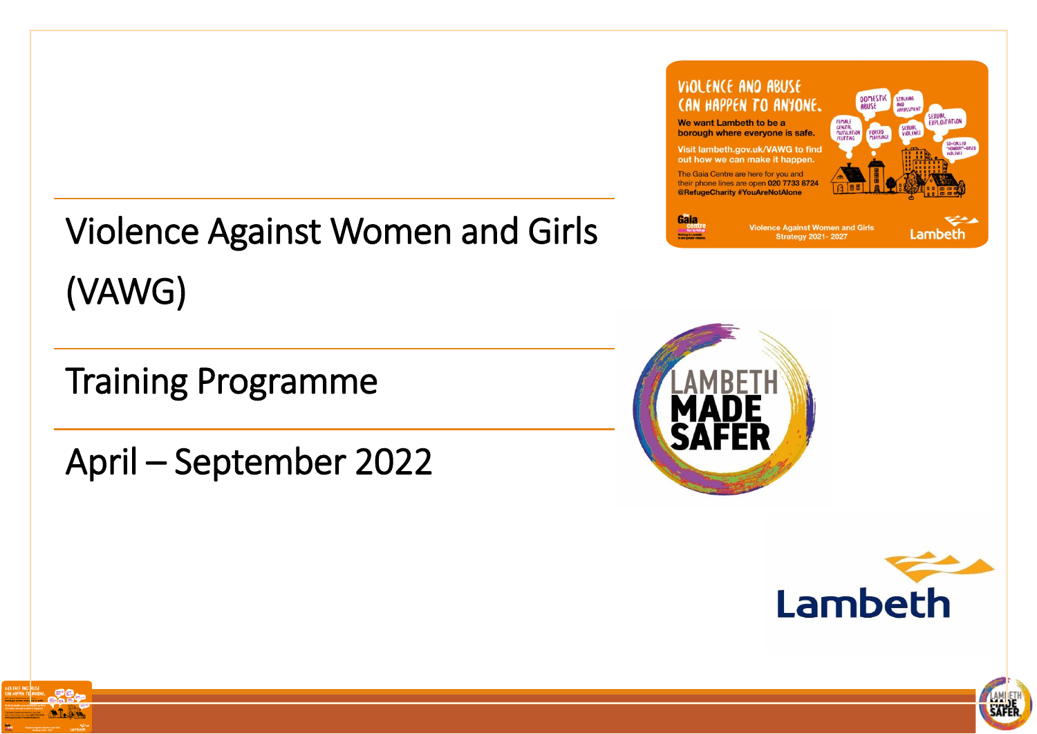# Violence Against Women and Girls (VAWG)

# Training Programme

April – September 2022









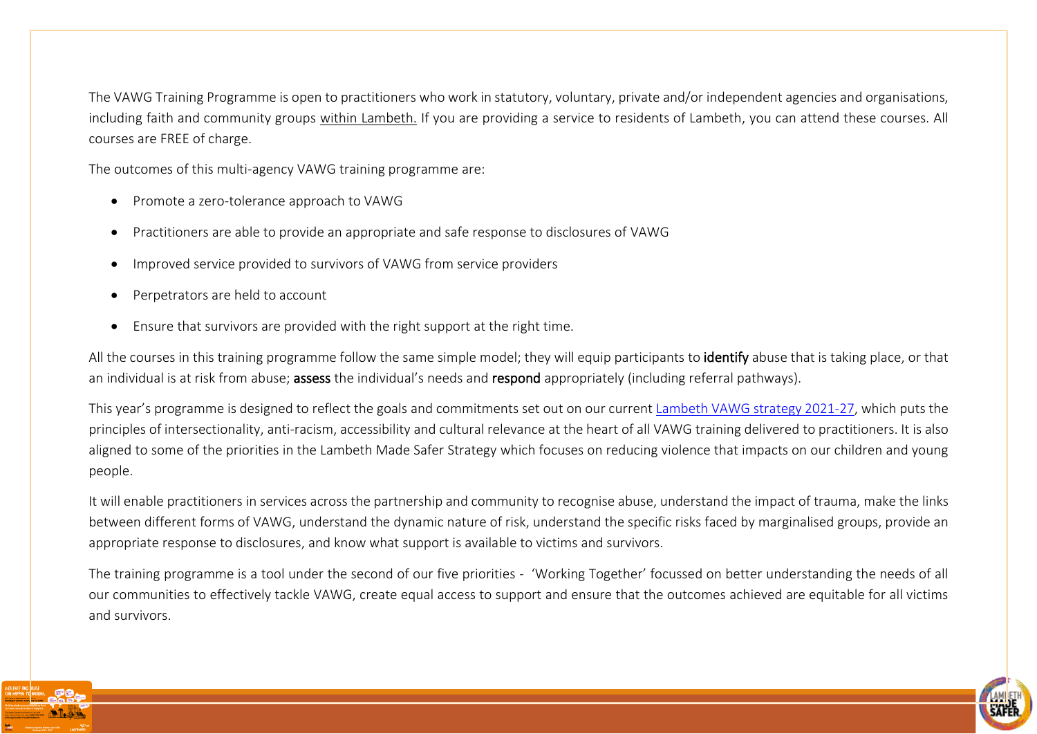The VAWG Training Programme is open to practitioners who work in statutory, voluntary, private and/or independent agencies and organisations, including faith and community groups within Lambeth. If you are providing a service to residents of Lambeth, you can attend these courses. All courses are FREE of charge.

The outcomes of this multi-agency VAWG training programme are:

- Promote a zero-tolerance approach to VAWG
- Practitioners are able to provide an appropriate and safe response to disclosures of VAWG
- Improved service provided to survivors of VAWG from service providers
- Perpetrators are held to account
- Ensure that survivors are provided with the right support at the right time.

All the courses in this training programme follow the same simple model; they will equip participants to identify abuse that is taking place, or that an individual is at risk from abuse; assess the individual's needs and respond appropriately (including referral pathways).

This year's programme is designed to reflect the goals and commitments set out on our current [Lambeth VAWG strategy 2021-27,](https://beta.lambeth.gov.uk/sites/default/files/2021-10/lambeth-made-safer-vawg-strategy-2021-2027.pdf) which puts the principles of intersectionality, anti-racism, accessibility and cultural relevance at the heart of all VAWG training delivered to practitioners. It is also aligned to some of the priorities in the Lambeth Made Safer Strategy which focuses on reducing violence that impacts on our children and young people.

It will enable practitioners in services across the partnership and community to recognise abuse, understand the impact of trauma, make the links between different forms of VAWG, understand the dynamic nature of risk, understand the specific risks faced by marginalised groups, provide an appropriate response to disclosures, and know what support is available to victims and survivors.

The training programme is a tool under the second of our five priorities - 'Working Together' focussed on better understanding the needs of all our communities to effectively tackle VAWG, create equal access to support and ensure that the outcomes achieved are equitable for all victims and survivors.



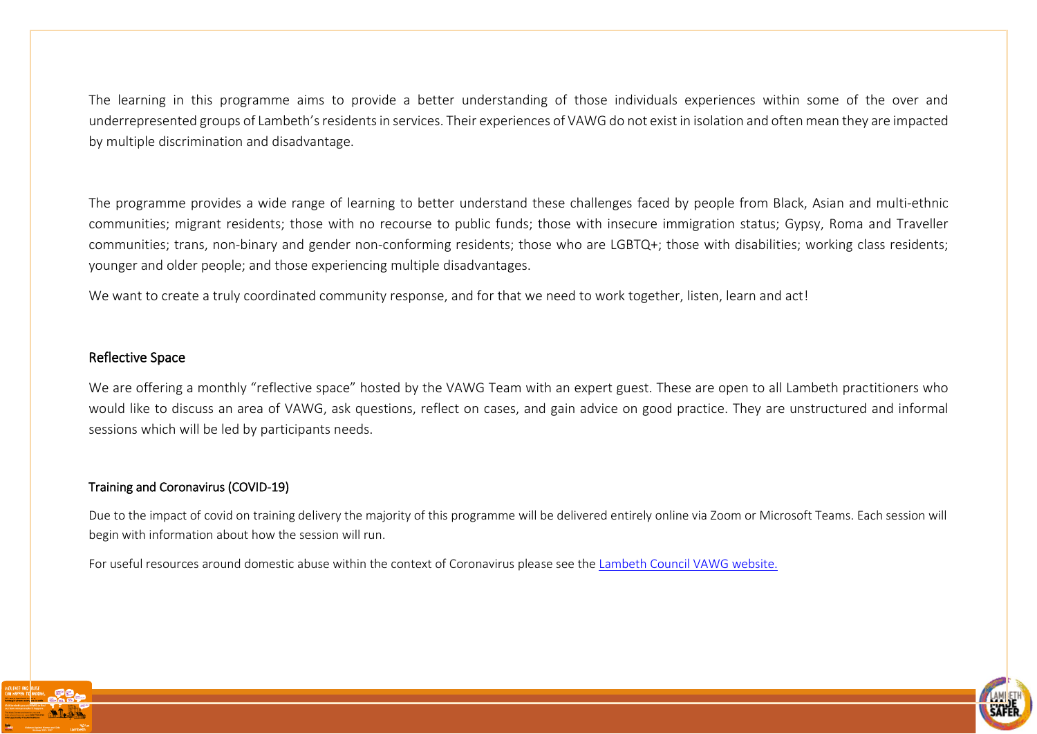The learning in this programme aims to provide a better understanding of those individuals experiences within some of the over and underrepresented groups of Lambeth's residents in services. Their experiences of VAWG do not exist in isolation and often mean they are impacted by multiple discrimination and disadvantage.

The programme provides a wide range of learning to better understand these challenges faced by people from Black, Asian and multi-ethnic communities; migrant residents; those with no recourse to public funds; those with insecure immigration status; Gypsy, Roma and Traveller communities; trans, non-binary and gender non-conforming residents; those who are LGBTQ+; those with disabilities; working class residents; younger and older people; and those experiencing multiple disadvantages.

We want to create a truly coordinated community response, and for that we need to work together, listen, learn and act!

#### Reflective Space

We are offering a monthly "reflective space" hosted by the VAWG Team with an expert guest. These are open to all Lambeth practitioners who would like to discuss an area of VAWG, ask questions, reflect on cases, and gain advice on good practice. They are unstructured and informal sessions which will be led by participants needs.

#### Training and Coronavirus (COVID-19)

Due to the impact of covid on training delivery the majority of this programme will be delivered entirely online via Zoom or Microsoft Teams. Each session will begin with information about how the session will run.

For useful resources around domestic abuse within the context of Coronavirus please see the [Lambeth Council VAWG website.](https://www.lambeth.gov.uk/noise-nuisance-pollution-and-anti-social-behaviour/abuse-and-violence/violence-against-women-and)



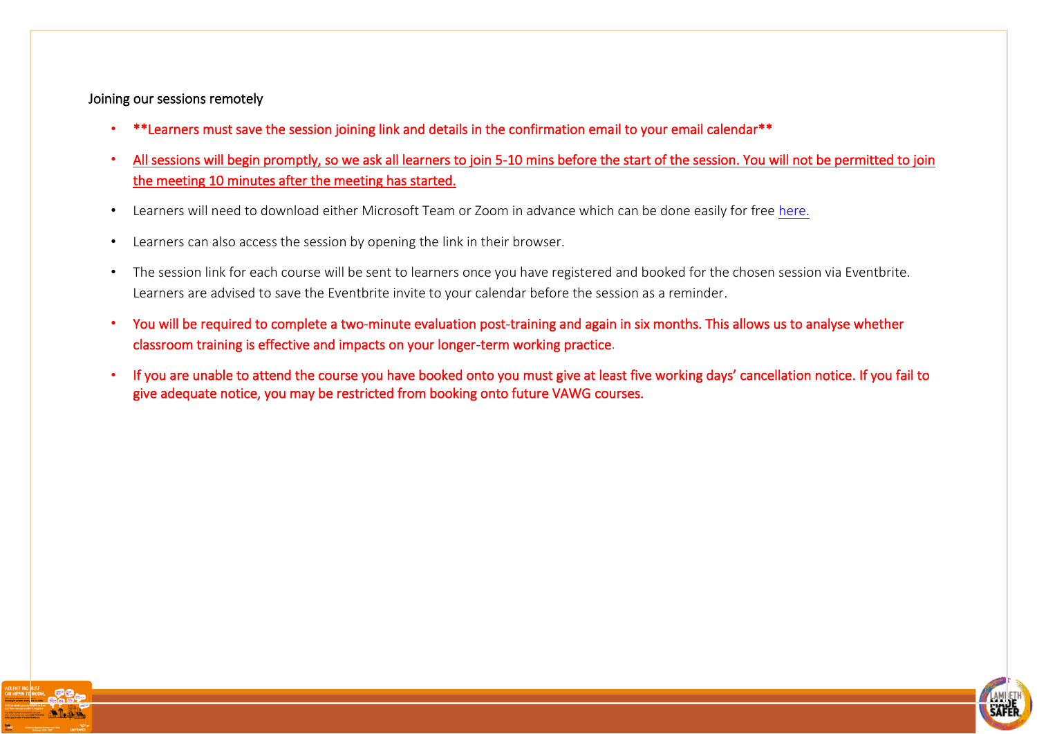#### Joining our sessions remotely

- \*\*Learners must save the session joining link and details in the confirmation email to your email calendar\*\*
- All sessions will begin promptly, so we ask all learners to join 5-10 mins before the start of the session. You will not be permitted to join the meeting 10 minutes after the meeting has started.
- Learners will need to download either Microsoft Team or Zoom in advance which can be done easily for free [here.](https://zoom.us/support/download)
- Learners can also access the session by opening the link in their browser.
- The session link for each course will be sent to learners once you have registered and booked for the chosen session via Eventbrite. Learners are advised to save the Eventbrite invite to your calendar before the session as a reminder.
- You will be required to complete a two-minute evaluation post-training and again in six months. This allows us to analyse whether classroom training is effective and impacts on your longer-term working practice.
- If you are unable to attend the course you have booked onto you must give at least five working days' cancellation notice. If you fail to give adequate notice, you may be restricted from booking onto future VAWG courses.



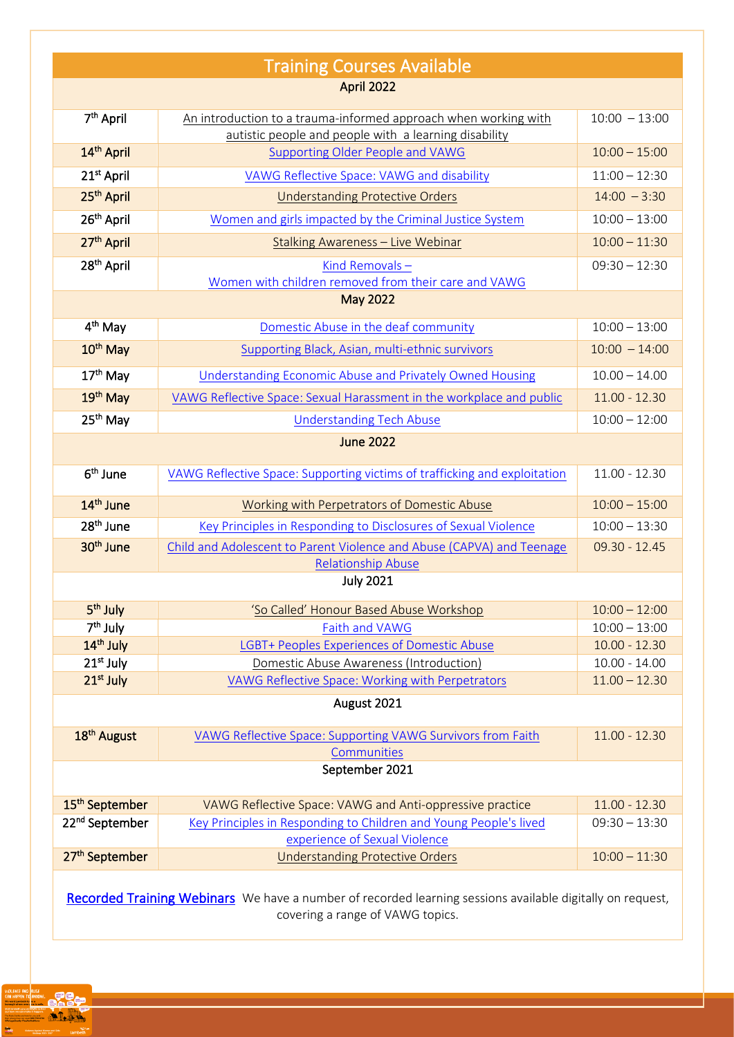| <b>Training Courses Available</b>                                                                         |                                                                                                                          |                 |  |  |
|-----------------------------------------------------------------------------------------------------------|--------------------------------------------------------------------------------------------------------------------------|-----------------|--|--|
| <b>April 2022</b>                                                                                         |                                                                                                                          |                 |  |  |
| 7 <sup>th</sup> April                                                                                     | An introduction to a trauma-informed approach when working with<br>autistic people and people with a learning disability | $10:00 - 13:00$ |  |  |
| 14 <sup>th</sup> April                                                                                    | <b>Supporting Older People and VAWG</b>                                                                                  | $10:00 - 15:00$ |  |  |
| 21 <sup>st</sup> April                                                                                    | VAWG Reflective Space: VAWG and disability                                                                               | $11:00 - 12:30$ |  |  |
| 25 <sup>th</sup> April                                                                                    | <b>Understanding Protective Orders</b>                                                                                   | $14:00 - 3:30$  |  |  |
| 26 <sup>th</sup> April                                                                                    | Women and girls impacted by the Criminal Justice System                                                                  | $10:00 - 13:00$ |  |  |
| 27 <sup>th</sup> April                                                                                    | Stalking Awareness - Live Webinar                                                                                        | $10:00 - 11:30$ |  |  |
| 28 <sup>th</sup> April                                                                                    | Kind Removals-<br>Women with children removed from their care and VAWG                                                   | $09:30 - 12:30$ |  |  |
| <b>May 2022</b>                                                                                           |                                                                                                                          |                 |  |  |
| 4 <sup>th</sup> May                                                                                       | Domestic Abuse in the deaf community                                                                                     | $10:00 - 13:00$ |  |  |
| 10 <sup>th</sup> May                                                                                      | Supporting Black, Asian, multi-ethnic survivors                                                                          | $10:00 - 14:00$ |  |  |
| 17 <sup>th</sup> May                                                                                      | <b>Understanding Economic Abuse and Privately Owned Housing</b>                                                          | $10.00 - 14.00$ |  |  |
| 19 <sup>th</sup> May                                                                                      | VAWG Reflective Space: Sexual Harassment in the workplace and public                                                     | $11.00 - 12.30$ |  |  |
| 25 <sup>th</sup> May                                                                                      | <b>Understanding Tech Abuse</b>                                                                                          | $10:00 - 12:00$ |  |  |
| <b>June 2022</b>                                                                                          |                                                                                                                          |                 |  |  |
| 6 <sup>th</sup> June                                                                                      | VAWG Reflective Space: Supporting victims of trafficking and exploitation                                                | 11.00 - 12.30   |  |  |
| 14 <sup>th</sup> June                                                                                     | <b>Working with Perpetrators of Domestic Abuse</b>                                                                       | $10:00 - 15:00$ |  |  |
| 28 <sup>th</sup> June                                                                                     | Key Principles in Responding to Disclosures of Sexual Violence                                                           | $10:00 - 13:30$ |  |  |
| 30 <sup>th</sup> June                                                                                     | Child and Adolescent to Parent Violence and Abuse (CAPVA) and Teenage                                                    | $09.30 - 12.45$ |  |  |
|                                                                                                           | <b>Relationship Abuse</b>                                                                                                |                 |  |  |
|                                                                                                           | <b>July 2021</b>                                                                                                         |                 |  |  |
| 5 <sup>th</sup> July                                                                                      | 'So Called' Honour Based Abuse Workshop                                                                                  | $10:00 - 12:00$ |  |  |
| 7 <sup>th</sup> July                                                                                      | Faith and VAWG                                                                                                           | $10:00 - 13:00$ |  |  |
| 14 <sup>th</sup> July                                                                                     | <b>LGBT+ Peoples Experiences of Domestic Abuse</b>                                                                       | $10.00 - 12.30$ |  |  |
| 21 <sup>st</sup> July                                                                                     | Domestic Abuse Awareness (Introduction)                                                                                  | $10.00 - 14.00$ |  |  |
| 21 <sup>st</sup> July                                                                                     | <b>VAWG Reflective Space: Working with Perpetrators</b>                                                                  | $11.00 - 12.30$ |  |  |
| August 2021                                                                                               |                                                                                                                          |                 |  |  |
| 18 <sup>th</sup> August                                                                                   | VAWG Reflective Space: Supporting VAWG Survivors from Faith<br>Communities                                               | $11.00 - 12.30$ |  |  |
| September 2021                                                                                            |                                                                                                                          |                 |  |  |
| 15 <sup>th</sup> September                                                                                | VAWG Reflective Space: VAWG and Anti-oppressive practice                                                                 | $11.00 - 12.30$ |  |  |
| 22 <sup>nd</sup> September                                                                                | Key Principles in Responding to Children and Young People's lived                                                        | $09:30 - 13:30$ |  |  |
|                                                                                                           | experience of Sexual Violence                                                                                            |                 |  |  |
| 27 <sup>th</sup> September                                                                                | <b>Understanding Protective Orders</b>                                                                                   | $10:00 - 11:30$ |  |  |
| Recorded Training Webinars We have a number of recorded learning sessions available digitally on request, |                                                                                                                          |                 |  |  |

covering a range of VAWG topics.

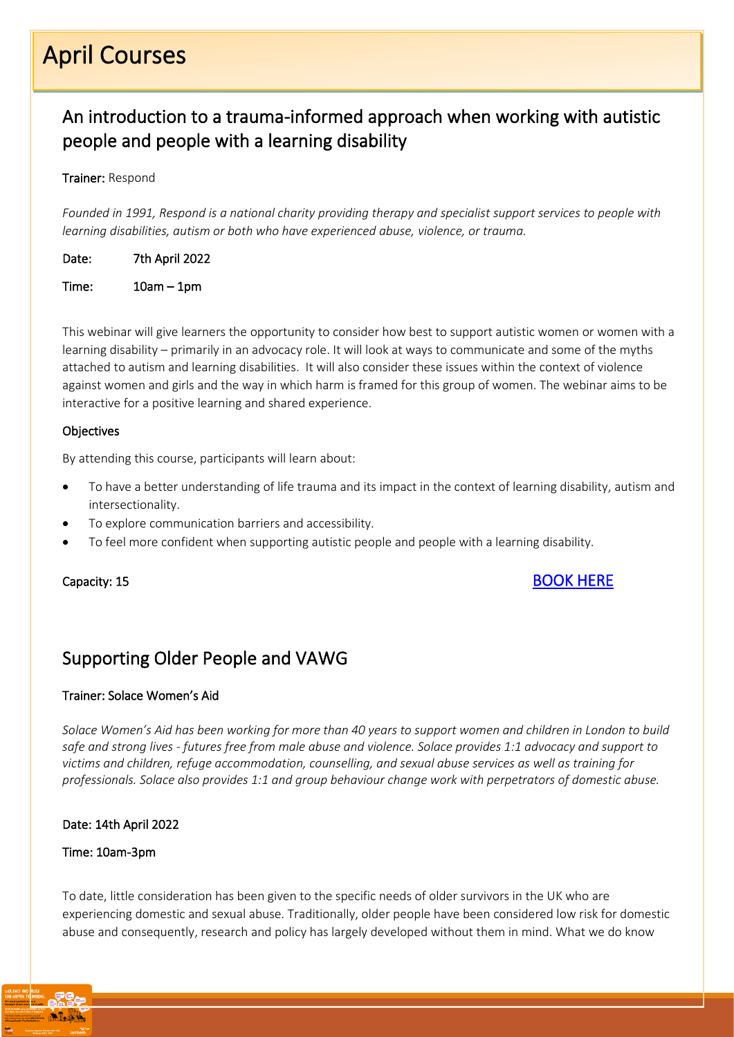# April Courses

### <span id="page-5-0"></span>An introduction to a trauma-informed approach when working with autistic people and people with a learning disability

#### Trainer: Respond

*Founded in 1991, Respond is a national charity providing therapy and specialist support services to people with learning disabilities, autism or both who have experienced abuse, violence, or trauma.*

Date: 7th April 2022

Time: 10am – 1pm

This webinar will give learners the opportunity to consider how best to support autistic women or women with a learning disability – primarily in an advocacy role. It will look at ways to communicate and some of the myths attached to autism and learning disabilities. It will also consider these issues within the context of violence against women and girls and the way in which harm is framed for this group of women. The webinar aims to be interactive for a positive learning and shared experience.

#### **Objectives**

By attending this course, participants will learn about:

- To have a better understanding of life trauma and its impact in the context of learning disability, autism and intersectionality.
- To explore communication barriers and accessibility.
- To feel more confident when supporting autistic people and people with a learning disability.

### Capacity: 15 [BOOK HERE](https://www.eventbrite.co.uk/e/trauma-informed-approach-when-working-with-people-with-autismld-introduc-tickets-299279181087)

### <span id="page-5-1"></span>Supporting Older People and VAWG

#### Trainer: Solace Women's Aid

*Solace Women's Aid has been working for more than 40 years to support women and children in London to build safe and strong lives - futures free from male abuse and violence. Solace provides 1:1 advocacy and support to victims and children, refuge accommodation, counselling, and sexual abuse services as well as training for professionals. Solace also provides 1:1 and group behaviour change work with perpetrators of domestic abuse.*

#### Date: 14th April 2022

#### Time: 10am-3pm

To date, little consideration has been given to the specific needs of older survivors in the UK who are experiencing domestic and sexual abuse. Traditionally, older people have been considered low risk for domestic abuse and consequently, research and policy has largely developed without them in mind. What we do know

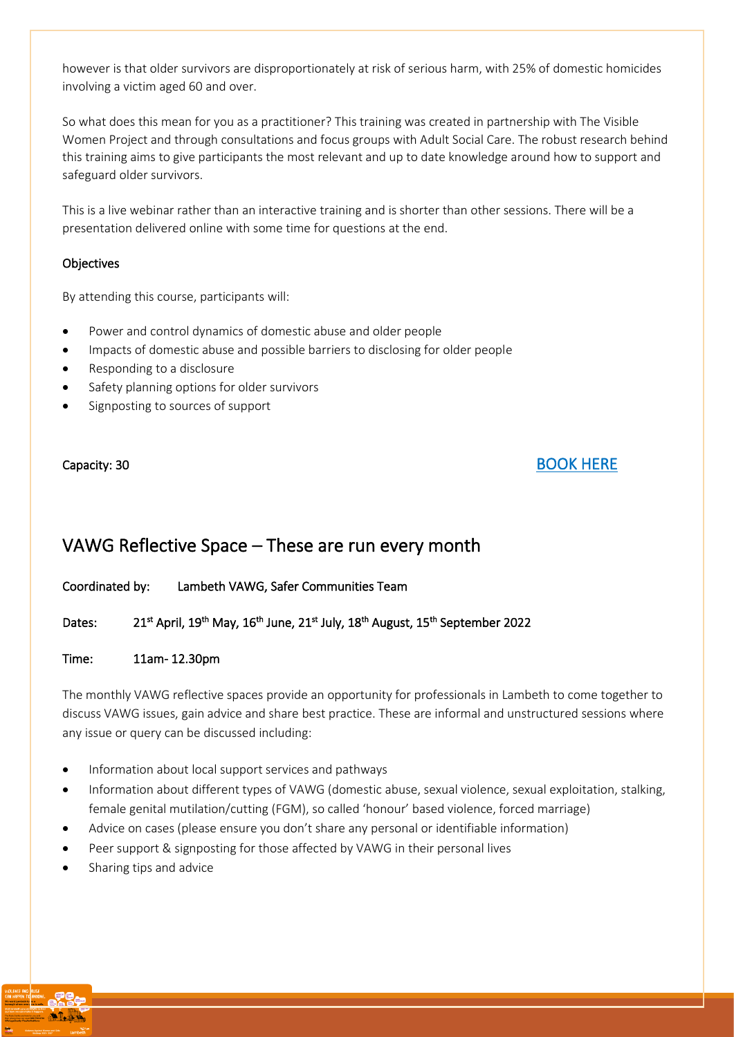however is that older survivors are disproportionately at risk of serious harm, with 25% of domestic homicides involving a victim aged 60 and over.

So what does this mean for you as a practitioner? This training was created in partnership with The Visible Women Project and through consultations and focus groups with Adult Social Care. The robust research behind this training aims to give participants the most relevant and up to date knowledge around how to support and safeguard older survivors.

This is a live webinar rather than an interactive training and is shorter than other sessions. There will be a presentation delivered online with some time for questions at the end.

#### **Objectives**

By attending this course, participants will:

- Power and control dynamics of domestic abuse and older people
- Impacts of domestic abuse and possible barriers to disclosing for older people
- Responding to a disclosure
- Safety planning options for older survivors
- Signposting to sources of support

#### Capacity: 30 [BOOK HERE](https://www.eventbrite.co.uk/e/supporting-older-survivors-of-violence-against-women-and-girls-vawg-tickets-299160265407)

### <span id="page-6-0"></span>VAWG Reflective Space – These are run every month

Coordinated by: Lambeth VAWG, Safer Communities Team

Dates: April, 19<sup>th</sup> May, 16<sup>th</sup> June, 21<sup>st</sup> July, 18<sup>th</sup> August, 15<sup>th</sup> September 2022

#### Time: 11am- 12.30pm

The monthly VAWG reflective spaces provide an opportunity for professionals in Lambeth to come together to discuss VAWG issues, gain advice and share best practice. These are informal and unstructured sessions where any issue or query can be discussed including:

- Information about local support services and pathways
- Information about different types of VAWG (domestic abuse, sexual violence, sexual exploitation, stalking, female genital mutilation/cutting (FGM), so called 'honour' based violence, forced marriage)
- Advice on cases (please ensure you don't share any personal or identifiable information)
- Peer support & signposting for those affected by VAWG in their personal lives
- Sharing tips and advice

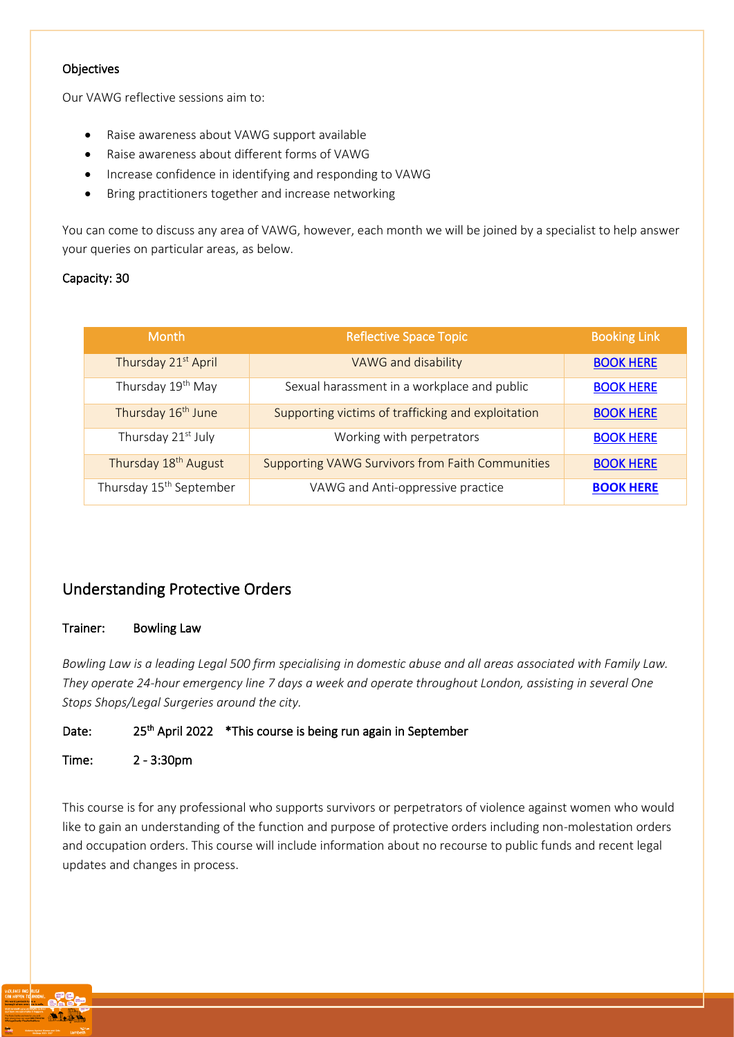#### **Objectives**

Our VAWG reflective sessions aim to:

- Raise awareness about VAWG support available
- Raise awareness about different forms of VAWG
- Increase confidence in identifying and responding to VAWG
- Bring practitioners together and increase networking

You can come to discuss any area of VAWG, however, each month we will be joined by a specialist to help answer your queries on particular areas, as below.

#### Capacity: 30

| <b>Month</b>                        | <b>Reflective Space Topic</b>                           | <b>Booking Link</b> |
|-------------------------------------|---------------------------------------------------------|---------------------|
| Thursday 21st April                 | VAWG and disability                                     | <b>BOOK HERE</b>    |
| Thursday 19th May                   | Sexual harassment in a workplace and public             | <b>BOOK HERE</b>    |
| Thursday 16 <sup>th</sup> June      | Supporting victims of trafficking and exploitation      | <b>BOOK HERE</b>    |
| Thursday 21 <sup>st</sup> July      | Working with perpetrators                               | <b>BOOK HERE</b>    |
| Thursday 18 <sup>th</sup> August    | <b>Supporting VAWG Survivors from Faith Communities</b> | <b>BOOK HERE</b>    |
| Thursday 15 <sup>th</sup> September | VAWG and Anti-oppressive practice                       | <b>BOOK HERE</b>    |

#### <span id="page-7-0"></span>Understanding Protective Orders

#### Trainer: Bowling Law

*Bowling Law is a leading Legal 500 firm specialising in domestic abuse and all areas associated with Family Law. They operate 24-hour emergency line 7 days a week and operate throughout London, assisting in several One Stops Shops/Legal Surgeries around the city.*

#### Date: 25<sup>th</sup> April 2022 \*This course is being run again in September

#### Time: 2 - 3:30pm

This course is for any professional who supports survivors or perpetrators of violence against women who would like to gain an understanding of the function and purpose of protective orders including non-molestation orders and occupation orders. This course will include information about no recourse to public funds and recent legal updates and changes in process.

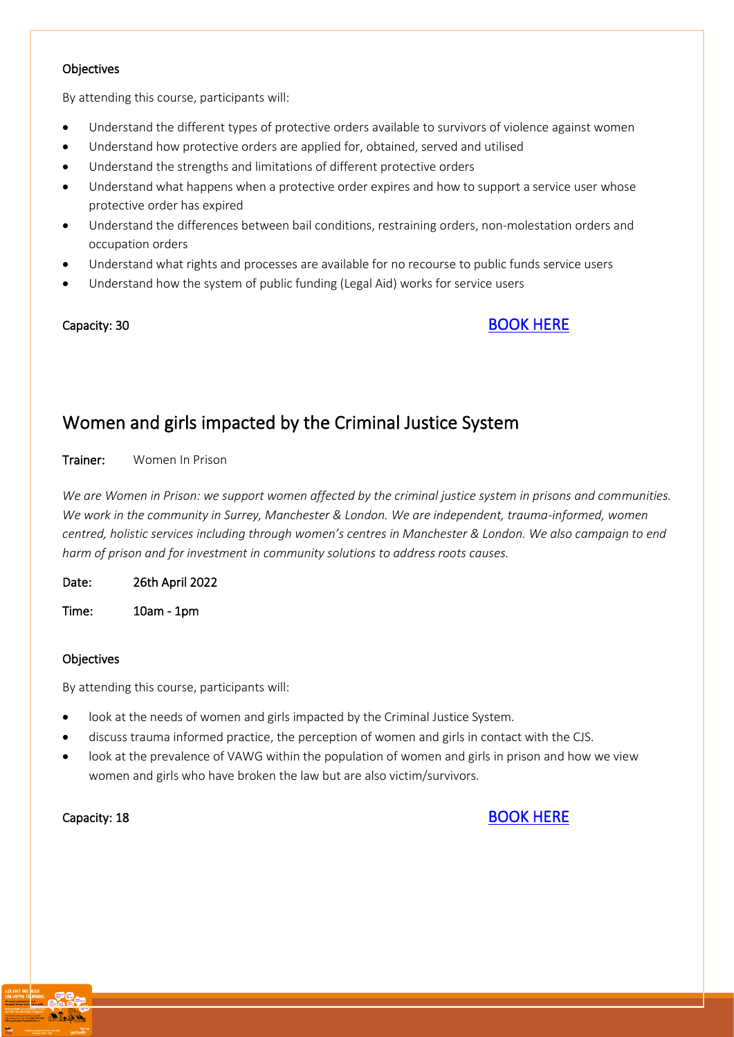#### **Objectives**

By attending this course, participants will:

- Understand the different types of protective orders available to survivors of violence against women
- Understand how protective orders are applied for, obtained, served and utilised
- Understand the strengths and limitations of different protective orders
- Understand what happens when a protective order expires and how to support a service user whose protective order has expired
- Understand the differences between bail conditions, restraining orders, non-molestation orders and occupation orders
- Understand what rights and processes are available for no recourse to public funds service users
- Understand how the system of public funding (Legal Aid) works for service users

#### Capacity: 30 [BOOK HERE](https://lambeth.sharepoint.com/sites/VAWGTeamChat-VAWGTeamfiles/Shared%20Documents/VAWG%20Team%20files/VAWG/Training/LORRAINE%20-%20Training%20Programme%202022%2023/OTP%20April%20-%20September%202022/25th%20April%202022:%20https:/www.eventbrite.co.uk/e/understanding-protective-orders-tickets-299547734337)

### <span id="page-8-0"></span>Women and girls impacted by the Criminal Justice System

#### Trainer: Women In Prison

*We are Women in Prison: we support women affected by the criminal justice system in prisons and communities. We work in the community in Surrey, Manchester & London. We are independent, trauma-informed, women centred, holistic services including through women's centres in Manchester & London. We also campaign to end harm of prison and for investment in community solutions to address roots causes.* 

Date: 26th April 2022

Time: 10am - 1pm

#### **Objectives**

By attending this course, participants will:

- look at the needs of women and girls impacted by the Criminal Justice System.
- discuss trauma informed practice, the perception of women and girls in contact with the CJS.
- look at the prevalence of VAWG within the population of women and girls in prison and how we view women and girls who have broken the law but are also victim/survivors.



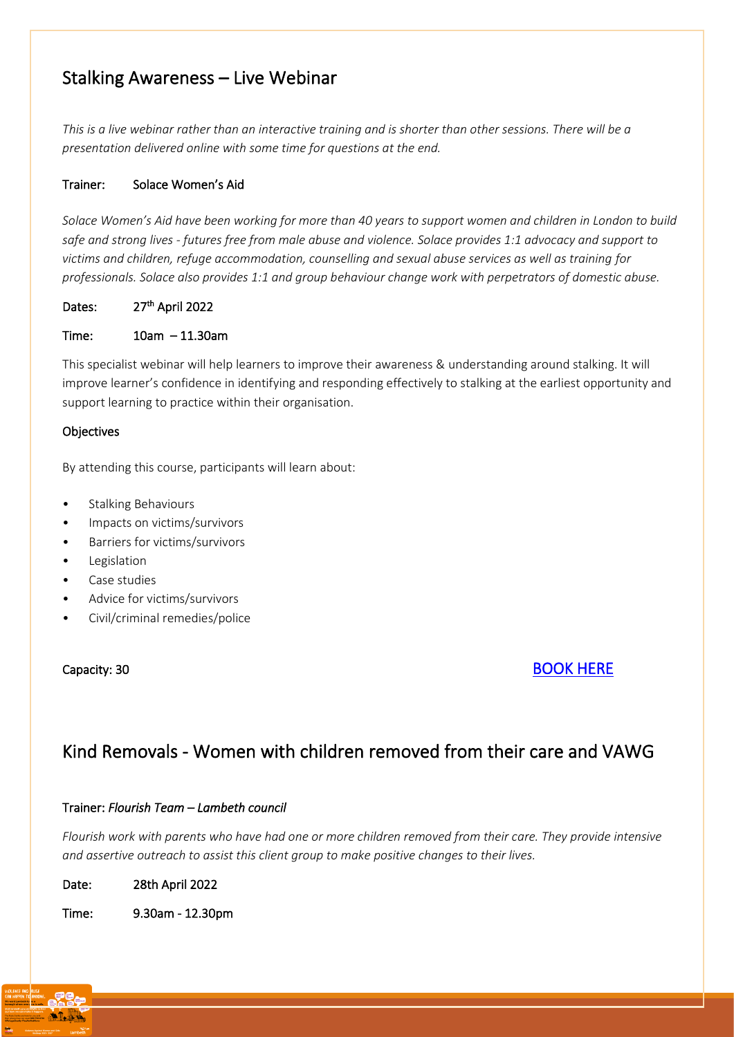### <span id="page-9-0"></span>Stalking Awareness – Live Webinar

*This is a live webinar rather than an interactive training and is shorter than other sessions. There will be a presentation delivered online with some time for questions at the end.*

#### Trainer: Solace Women's Aid

*Solace Women's Aid have been working for more than 40 years to support women and children in London to build safe and strong lives - futures free from male abuse and violence. Solace provides 1:1 advocacy and support to victims and children, refuge accommodation, counselling and sexual abuse services as well as training for professionals. Solace also provides 1:1 and group behaviour change work with perpetrators of domestic abuse.*

Dates: 27<sup>th</sup> April 2022

Time: 10am – 11.30am

This specialist webinar will help learners to improve their awareness & understanding around stalking. It will improve learner's confidence in identifying and responding effectively to stalking at the earliest opportunity and support learning to practice within their organisation.

#### **Objectives**

By attending this course, participants will learn about:

- Stalking Behaviours
- Impacts on victims/survivors
- Barriers for victims/survivors
- **Legislation**
- Case studies
- Advice for victims/survivors
- Civil/criminal remedies/police

#### Capacity: 30 [BOOK HERE](https://www.eventbrite.co.uk/e/stalking-awareness-live-webinar-tickets-299521465767)

### <span id="page-9-1"></span>Kind Removals - Women with children removed from their care and VAWG

#### Trainer: *Flourish Team – Lambeth council*

*Flourish work with parents who have had one or more children removed from their care. They provide intensive and assertive outreach to assist this client group to make positive changes to their lives.* 

| Date: | 28th April 2022 |
|-------|-----------------|
|-------|-----------------|

Time: 9.30am - 12.30pm

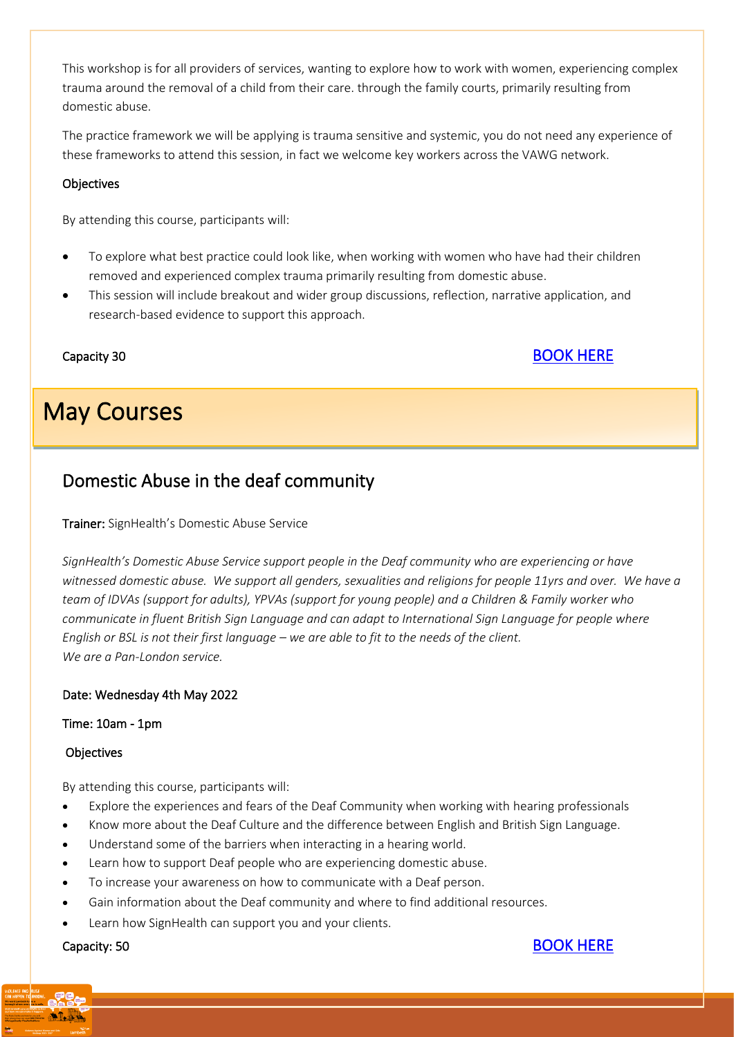This workshop is for all providers of services, wanting to explore how to work with women, experiencing complex trauma around the removal of a child from their care. through the family courts, primarily resulting from domestic abuse.

The practice framework we will be applying is trauma sensitive and systemic, you do not need any experience of these frameworks to attend this session, in fact we welcome key workers across the VAWG network.

#### **Objectives**

By attending this course, participants will:

- To explore what best practice could look like, when working with women who have had their children removed and experienced complex trauma primarily resulting from domestic abuse.
- This session will include breakout and wider group discussions, reflection, narrative application, and research-based evidence to support this approach.

l

### Capacity 30 [BOOK HERE](https://www.eventbrite.co.uk/e/kind-removals-women-with-children-removed-from-their-care-and-vawg-tickets-299808243527)

#### I May Courses

### <span id="page-10-0"></span>Domestic Abuse in the deaf community

Trainer: SignHealth's Domestic Abuse Service

*SignHealth's Domestic Abuse Service support people in the Deaf community who are experiencing or have witnessed domestic abuse.  We support all genders, sexualities and religions for people 11yrs and over.  We have a team of IDVAs (support for adults), YPVAs (support for young people) and a Children & Family worker who communicate in fluent British Sign Language and can adapt to International Sign Language for people where English or BSL is not their first language – we are able to fit to the needs of the client. We are a Pan-London service.*

#### Date: Wednesday 4th May 2022

#### Time: 10am - 1pm

#### **Objectives**

By attending this course, participants will:

- Explore the experiences and fears of the Deaf Community when working with hearing professionals
- Know more about the Deaf Culture and the difference between English and British Sign Language.
- Understand some of the barriers when interacting in a hearing world.
- Learn how to support Deaf people who are experiencing domestic abuse.
- To increase your awareness on how to communicate with a Deaf person.
- Gain information about the Deaf community and where to find additional resources.
- Learn how SignHealth can support you and your clients.



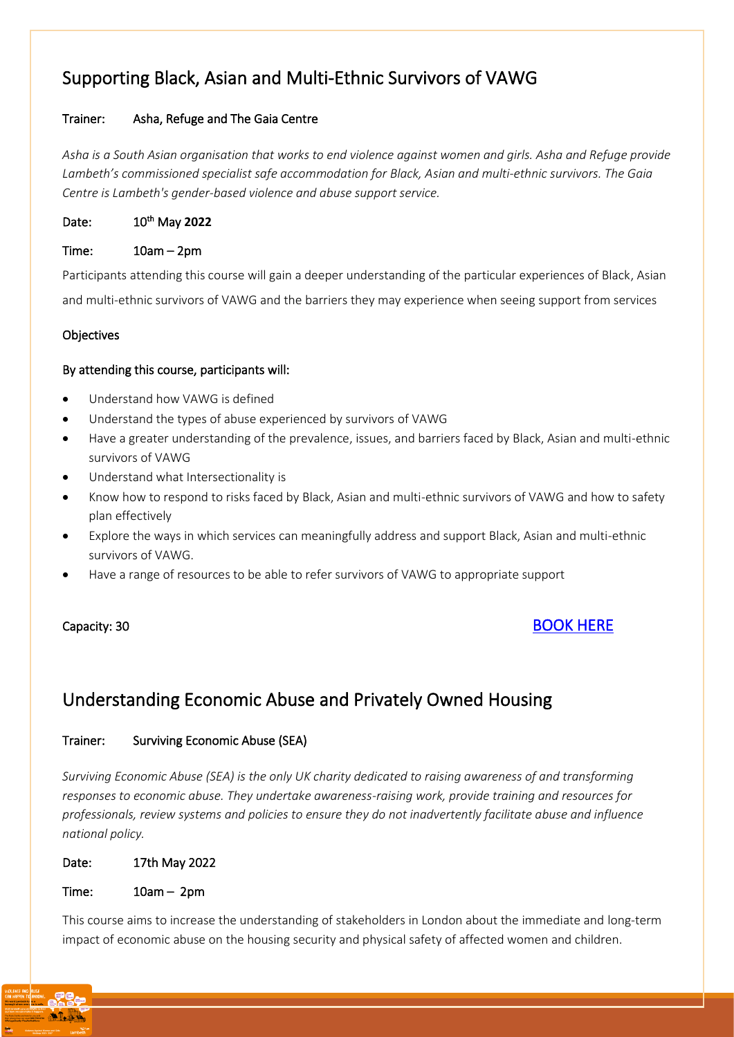### <span id="page-11-0"></span>Supporting Black, Asian and Multi-Ethnic Survivors of VAWG

#### Trainer: Asha, Refuge and The Gaia Centre

*Asha is a South Asian organisation that works to end violence against women and girls. Asha and Refuge provide Lambeth's commissioned specialist safe accommodation for Black, Asian and multi-ethnic survivors. The Gaia Centre is Lambeth's gender-based violence and abuse support service.*

Date: May **2022**

#### Time: 10am – 2pm

Participants attending this course will gain a deeper understanding of the particular experiences of Black, Asian and multi-ethnic survivors of VAWG and the barriers they may experience when seeing support from services

#### **Objectives**

#### By attending this course, participants will:

- Understand how VAWG is defined
- Understand the types of abuse experienced by survivors of VAWG
- Have a greater understanding of the prevalence, issues, and barriers faced by Black, Asian and multi-ethnic survivors of VAWG
- Understand what Intersectionality is
- Know how to respond to risks faced by Black, Asian and multi-ethnic survivors of VAWG and how to safety plan effectively
- Explore the ways in which services can meaningfully address and support Black, Asian and multi-ethnic survivors of VAWG.
- Have a range of resources to be able to refer survivors of VAWG to appropriate support

### Capacity: 30 [BOOK HERE](https://www.eventbrite.co.uk/e/supporting-black-asian-and-multi-ethnic-survivors-of-vawg-tickets-299913889517)

### <span id="page-11-1"></span>Understanding Economic Abuse and Privately Owned Housing

#### Trainer: Surviving Economic Abuse (SEA)

*Surviving Economic Abuse (SEA) is the only UK charity dedicated to raising awareness of and transforming responses to economic abuse. They undertake awareness-raising work, provide training and resources for professionals, review systems and policies to ensure they do not inadvertently facilitate abuse and influence national policy.*

#### Date: 17th May 2022

#### Time: 10am – 2pm

This course aims to increase the understanding of stakeholders in London about the immediate and long-term impact of economic abuse on the housing security and physical safety of affected women and children.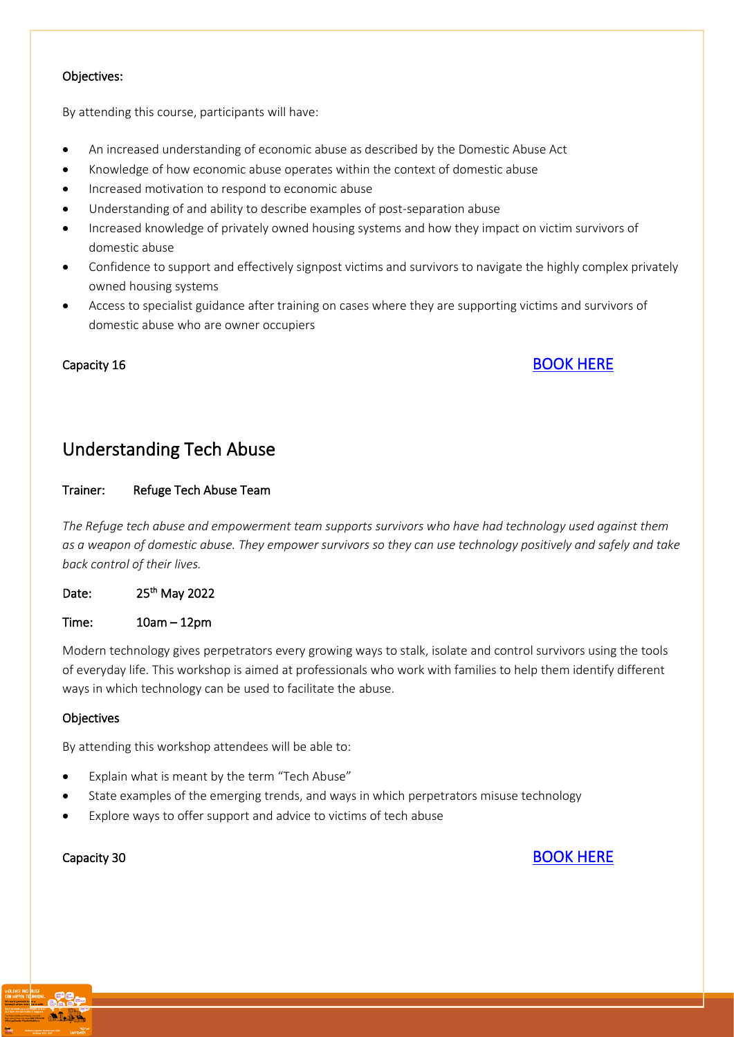#### Objectives:

By attending this course, participants will have:

- An increased understanding of economic abuse as described by the Domestic Abuse Act
- Knowledge of how economic abuse operates within the context of domestic abuse
- Increased motivation to respond to economic abuse
- Understanding of and ability to describe examples of post-separation abuse
- Increased knowledge of privately owned housing systems and how they impact on victim survivors of domestic abuse
- Confidence to support and effectively signpost victims and survivors to navigate the highly complex privately owned housing systems
- Access to specialist guidance after training on cases where they are supporting victims and survivors of domestic abuse who are owner occupiers

### Capacity 16 [BOOK HERE](https://www.eventbrite.co.uk/e/understanding-economic-abuse-and-privately-owned-housing-tickets-299951191087)

### <span id="page-12-0"></span>Understanding Tech Abuse

#### Trainer: Refuge Tech Abuse Team

*The Refuge tech abuse and empowerment team supports survivors who have had technology used against them as a weapon of domestic abuse. They empower survivors so they can use technology positively and safely and take back control of their lives.*

Date: 25<sup>th</sup> May 2022

Time: 10am – 12pm

Modern technology gives perpetrators every growing ways to stalk, isolate and control survivors using the tools of everyday life. This workshop is aimed at professionals who work with families to help them identify different ways in which technology can be used to facilitate the abuse.

#### **Objectives**

By attending this workshop attendees will be able to:

- Explain what is meant by the term "Tech Abuse"
- State examples of the emerging trends, and ways in which perpetrators misuse technology
- Explore ways to offer support and advice to victims of tech abuse

Capacity 30 [BOOK HERE](https://www.eventbrite.co.uk/e/understanding-tech-abuse-tickets-299939145057)

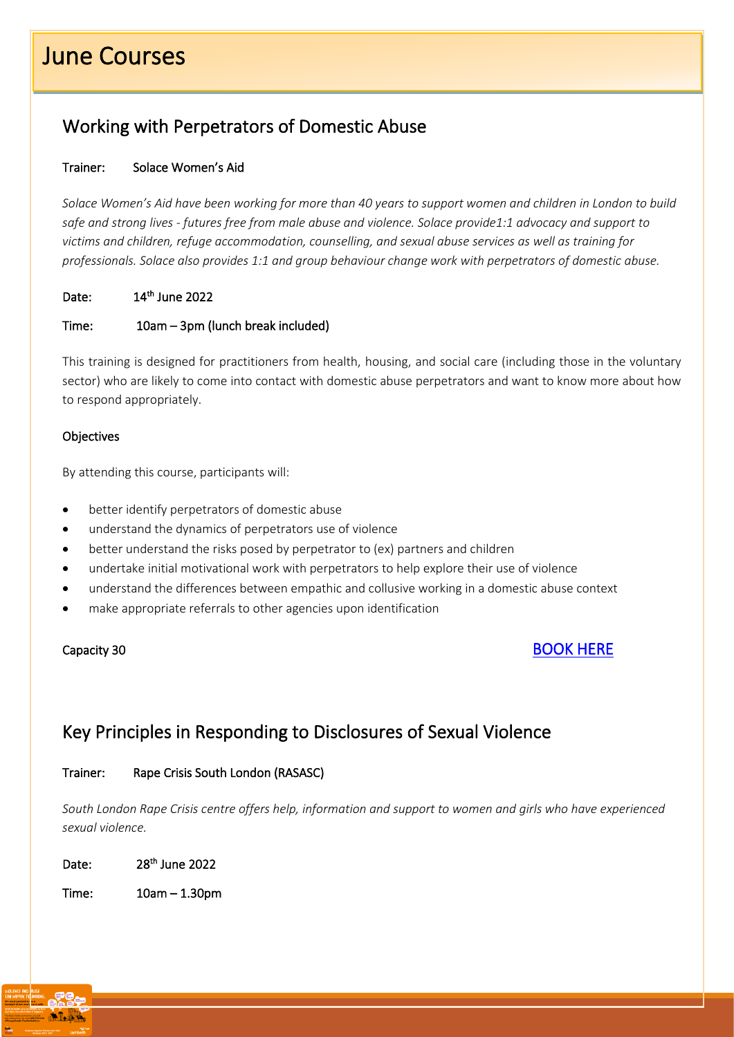# June Courses

֦

### <span id="page-13-0"></span>Working with Perpetrators of Domestic Abuse

#### Trainer: Solace Women's Aid

*Solace Women's Aid have been working for more than 40 years to support women and children in London to build safe and strong lives - futures free from male abuse and violence. Solace provide1:1 advocacy and support to victims and children, refuge accommodation, counselling, and sexual abuse services as well as training for professionals. Solace also provides 1:1 and group behaviour change work with perpetrators of domestic abuse.*

Date: 14<sup>th</sup> June 2022

#### Time: 10am – 3pm (lunch break included)

This training is designed for practitioners from health, housing, and social care (including those in the voluntary sector) who are likely to come into contact with domestic abuse perpetrators and want to know more about how to respond appropriately.

#### **Objectives**

By attending this course, participants will:

- better identify perpetrators of domestic abuse
- understand the dynamics of perpetrators use of violence
- better understand the risks posed by perpetrator to (ex) partners and children
- undertake initial motivational work with perpetrators to help explore their use of violence
- understand the differences between empathic and collusive working in a domestic abuse context
- make appropriate referrals to other agencies upon identification

#### Capacity 30 [BOOK HERE](https://www.eventbrite.co.uk/e/working-with-perpetrators-of-domestic-abuse-tickets-300035864347)

### <span id="page-13-1"></span>Key Principles in Responding to Disclosures of Sexual Violence

#### Trainer: Rape Crisis South London (RASASC)

*South London Rape Crisis centre offers help, information and support to women and girls who have experienced sexual violence.*

Date: 28<sup>th</sup> June 2022

Time: 10am – 1.30pm

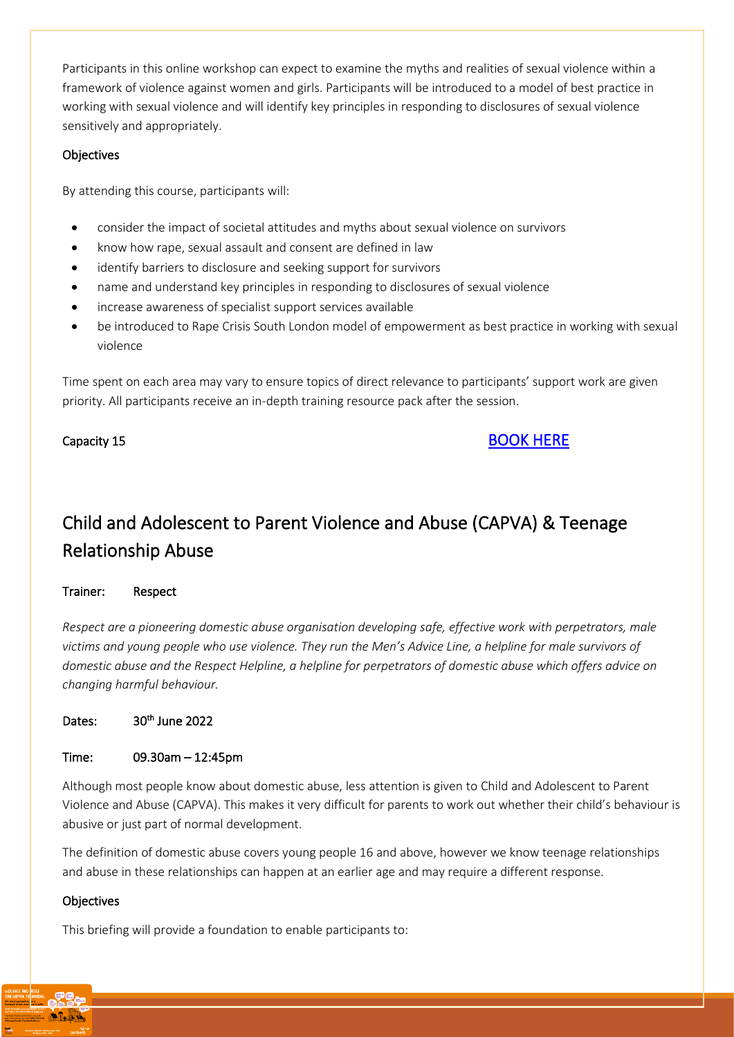Participants in this online workshop can expect to examine the myths and realities of sexual violence within a framework of violence against women and girls. Participants will be introduced to a model of best practice in working with sexual violence and will identify key principles in responding to disclosures of sexual violence sensitively and appropriately.

#### **Objectives**

By attending this course, participants will:

- consider the impact of societal attitudes and myths about sexual violence on survivors
- know how rape, sexual assault and consent are defined in law
- identify barriers to disclosure and seeking support for survivors
- name and understand key principles in responding to disclosures of sexual violence
- increase awareness of specialist support services available
- be introduced to Rape Crisis South London model of empowerment as best practice in working with sexual violence

Time spent on each area may vary to ensure topics of direct relevance to participants' support work are given priority. All participants receive an in-depth training resource pack after the session.

#### Capacity 15 [BOOK HERE](https://www.eventbrite.co.uk/e/key-principles-in-responding-to-disclosures-of-sexual-violence-tickets-300021651837)

## <span id="page-14-0"></span>Child and Adolescent to Parent Violence and Abuse (CAPVA) & Teenage Relationship Abuse

#### Trainer: Respect

*Respect are a pioneering domestic abuse organisation developing safe, effective work with perpetrators, male victims and young people who use violence. They run the Men's Advice Line, a helpline for male survivors of domestic abuse and the Respect Helpline, a helpline for perpetrators of domestic abuse which offers advice on changing harmful behaviour.*

#### Dates: 30<sup>th</sup> June 2022

#### Time: 09.30am – 12:45pm

Although most people know about domestic abuse, less attention is given to Child and Adolescent to Parent Violence and Abuse (CAPVA). This makes it very difficult for parents to work out whether their child's behaviour is abusive or just part of normal development.

The definition of domestic abuse covers young people 16 and above, however we know teenage relationships and abuse in these relationships can happen at an earlier age and may require a different response.

#### **Objectives**

This briefing will provide a foundation to enable participants to: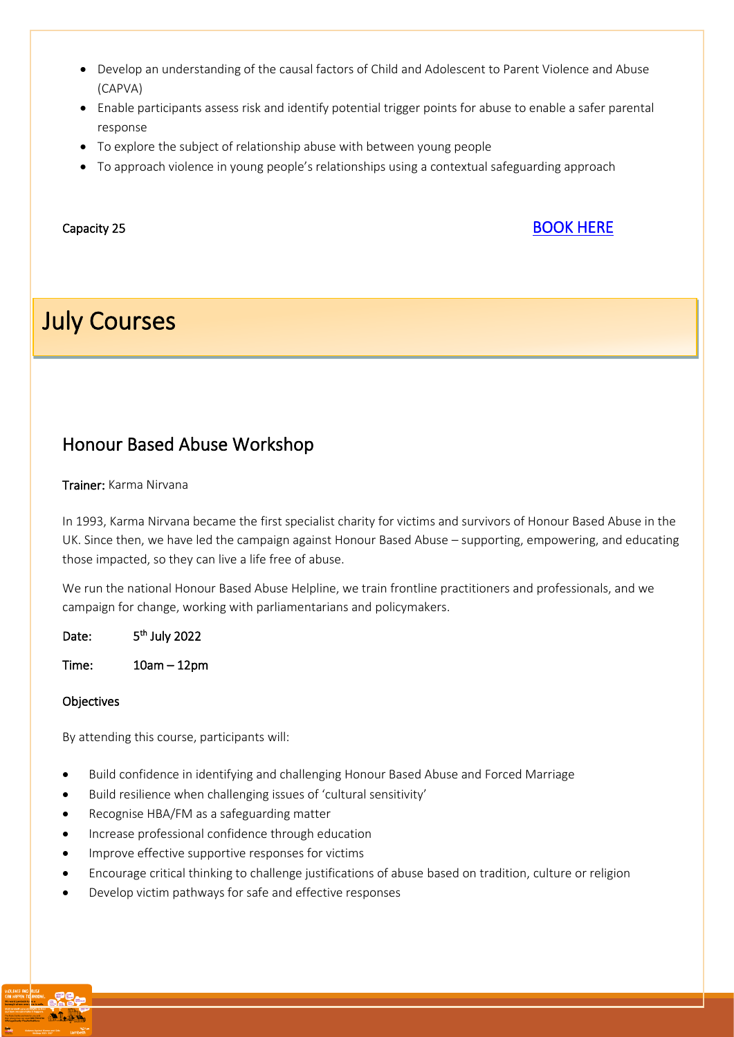- Develop an understanding of the causal factors of Child and Adolescent to Parent Violence and Abuse (CAPVA)
- Enable participants assess risk and identify potential trigger points for abuse to enable a safer parental response
- To explore the subject of relationship abuse with between young people
- To approach violence in young people's relationships using a contextual safeguarding approach

#### **Capacity 25** [BOOK HERE](https://www.eventbrite.co.uk/e/child-and-adolescent-to-parent-teenage-relationship-violence-and-abuse-tickets-300007579747)

# July Courses

<span id="page-15-0"></span>L

### Honour Based Abuse Workshop

#### Trainer: Karma Nirvana

In 1993, Karma Nirvana became the first specialist charity for victims and survivors of Honour Based Abuse in the UK. Since then, we have led the campaign against Honour Based Abuse – supporting, empowering, and educating those impacted, so they can live a life free of abuse.

We run the national Honour Based Abuse Helpline, we train frontline practitioners and professionals, and we campaign for change, working with parliamentarians and policymakers.

Date: <sup>th</sup> July 2022

Time: 10am – 12pm

#### **Objectives**

By attending this course, participants will:

- Build confidence in identifying and challenging Honour Based Abuse and Forced Marriage
- Build resilience when challenging issues of 'cultural sensitivity'
- Recognise HBA/FM as a safeguarding matter
- Increase professional confidence through education
- Improve effective supportive responses for victims
- Encourage critical thinking to challenge justifications of abuse based on tradition, culture or religion
- Develop victim pathways for safe and effective responses

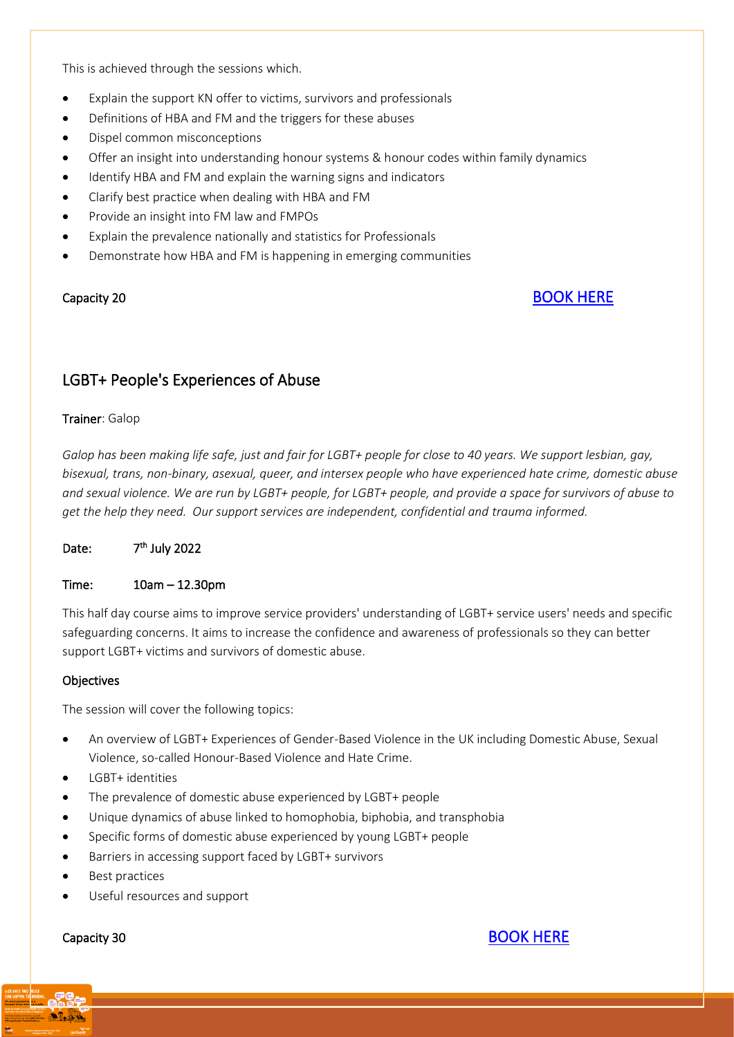This is achieved through the sessions which.

- Explain the support KN offer to victims, survivors and professionals
- Definitions of HBA and FM and the triggers for these abuses
- Dispel common misconceptions
- Offer an insight into understanding honour systems & honour codes within family dynamics
- Identify HBA and FM and explain the warning signs and indicators
- Clarify best practice when dealing with HBA and FM
- Provide an insight into FM law and FMPOs
- Explain the prevalence nationally and statistics for Professionals
- Demonstrate how HBA and FM is happening in emerging communities

#### Capacity 20 BOOK HERE

#### <span id="page-16-0"></span>LGBT+ People's Experiences of Abuse

#### Trainer: Galop

*Galop has been making life safe, just and fair for LGBT+ people for close to 40 years. We support lesbian, gay, bisexual, trans, non-binary, asexual, queer, and intersex people who have experienced hate crime, domestic abuse and sexual violence. We are run by LGBT+ people, for LGBT+ people, and provide a space for survivors of abuse to get the help they need. Our support services are independent, confidential and trauma informed.* 

#### Date: <sup>th</sup> July 2022

#### Time: 10am – 12.30pm

This half day course aims to improve service providers' understanding of LGBT+ service users' needs and specific safeguarding concerns. It aims to increase the confidence and awareness of professionals so they can better support LGBT+ victims and survivors of domestic abuse.

#### **Objectives**

The session will cover the following topics:

- An overview of LGBT+ Experiences of Gender-Based Violence in the UK including Domestic Abuse, Sexual Violence, so-called Honour-Based Violence and Hate Crime.
- LGBT+ identities
- The prevalence of domestic abuse experienced by LGBT+ people
- Unique dynamics of abuse linked to homophobia, biphobia, and transphobia
- Specific forms of domestic abuse experienced by young LGBT+ people
- Barriers in accessing support faced by LGBT+ survivors
- Best practices
- Useful resources and support



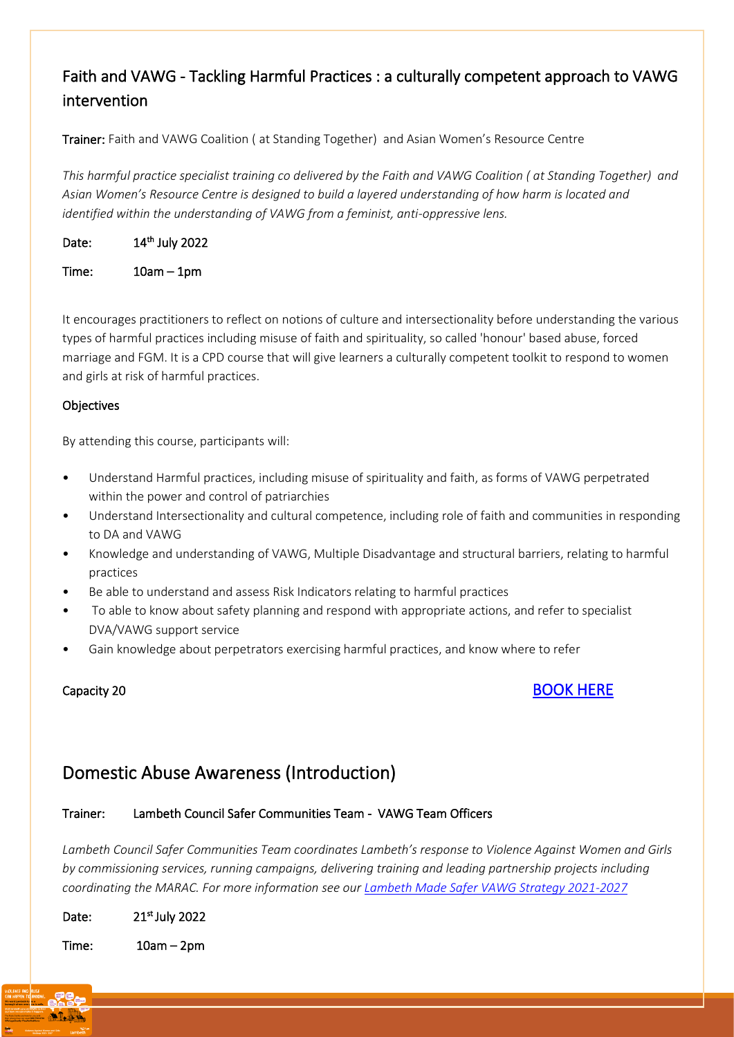### <span id="page-17-0"></span>Faith and VAWG - Tackling Harmful Practices : a culturally competent approach to VAWG intervention

Trainer: Faith and VAWG Coalition ( at Standing Together) and Asian Women's Resource Centre

*This harmful practice specialist training co delivered by the Faith and VAWG Coalition ( at Standing Together) and Asian Women's Resource Centre is designed to build a layered understanding of how harm is located and identified within the understanding of VAWG from a feminist, anti-oppressive lens.* 

Date: 14<sup>th</sup> July 2022

Time: 10am – 1pm

It encourages practitioners to reflect on notions of culture and intersectionality before understanding the various types of harmful practices including misuse of faith and spirituality, so called 'honour' based abuse, forced marriage and FGM. It is a CPD course that will give learners a culturally competent toolkit to respond to women and girls at risk of harmful practices.

#### **Objectives**

By attending this course, participants will:

- Understand Harmful practices, including misuse of spirituality and faith, as forms of VAWG perpetrated within the power and control of patriarchies
- Understand Intersectionality and cultural competence, including role of faith and communities in responding to DA and VAWG
- Knowledge and understanding of VAWG, Multiple Disadvantage and structural barriers, relating to harmful practices
- Be able to understand and assess Risk Indicators relating to harmful practices
- To able to know about safety planning and respond with appropriate actions, and refer to specialist DVA/VAWG support service
- Gain knowledge about perpetrators exercising harmful practices, and know where to refer

#### Capacity 20 [BOOK HERE](https://www.eventbrite.co.uk/e/faith-and-violence-against-women-and-girls-vawg-tickets-300565107327)

### <span id="page-17-1"></span>Domestic Abuse Awareness (Introduction)

#### Trainer: Lambeth Council Safer Communities Team - VAWG Team Officers

*Lambeth Council Safer Communities Team coordinates Lambeth's response to Violence Against Women and Girls by commissioning services, running campaigns, delivering training and leading partnership projects including coordinating the MARAC. For more information see ou[r Lambeth Made Safer VAWG Strategy 2021-2027](https://beta.lambeth.gov.uk/sites/default/files/2021-10/lambeth-made-safer-vawg-strategy-2021-2027.pdf)*

Date: 21<sup>st</sup> July 2022

Time: 10am – 2pm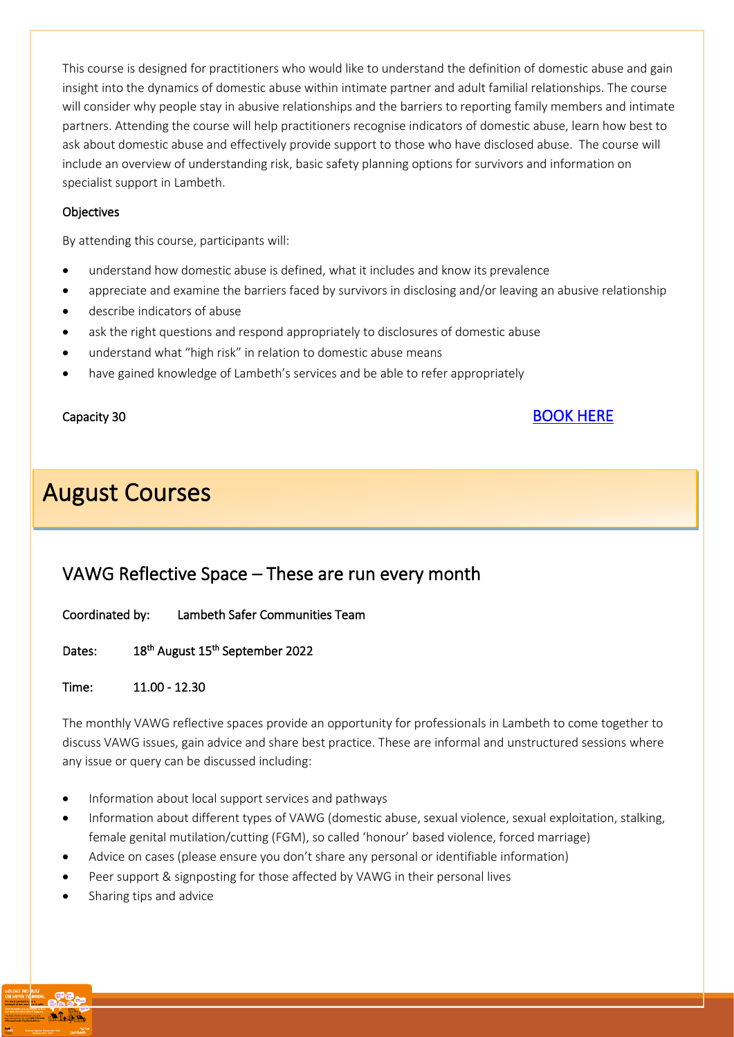This course is designed for practitioners who would like to understand the definition of domestic abuse and gain insight into the dynamics of domestic abuse within intimate partner and adult familial relationships. The course will consider why people stay in abusive relationships and the barriers to reporting family members and intimate partners. Attending the course will help practitioners recognise indicators of domestic abuse, learn how best to ask about domestic abuse and effectively provide support to those who have disclosed abuse. The course will include an overview of understanding risk, basic safety planning options for survivors and information on specialist support in Lambeth.

#### **Objectives**

By attending this course, participants will:

- understand how domestic abuse is defined, what it includes and know its prevalence
- appreciate and examine the barriers faced by survivors in disclosing and/or leaving an abusive relationship
- describe indicators of abuse
- ask the right questions and respond appropriately to disclosures of domestic abuse
- understand what "high risk" in relation to domestic abuse means
- have gained knowledge of Lambeth's services and be able to refer appropriately

# August Courses

### <span id="page-18-0"></span>VAWG Reflective Space – These are run every month

Coordinated by: Lambeth Safer Communities Team

Dates: August 15th September 2022

Time: 11.00 - 12.30

The monthly VAWG reflective spaces provide an opportunity for professionals in Lambeth to come together to discuss VAWG issues, gain advice and share best practice. These are informal and unstructured sessions where any issue or query can be discussed including:

- Information about local support services and pathways
- Information about different types of VAWG (domestic abuse, sexual violence, sexual exploitation, stalking, female genital mutilation/cutting (FGM), so called 'honour' based violence, forced marriage)
- Advice on cases (please ensure you don't share any personal or identifiable information)
- Peer support & signposting for those affected by VAWG in their personal lives
- Sharing tips and advice



#### Capacity 30 BOOK HERE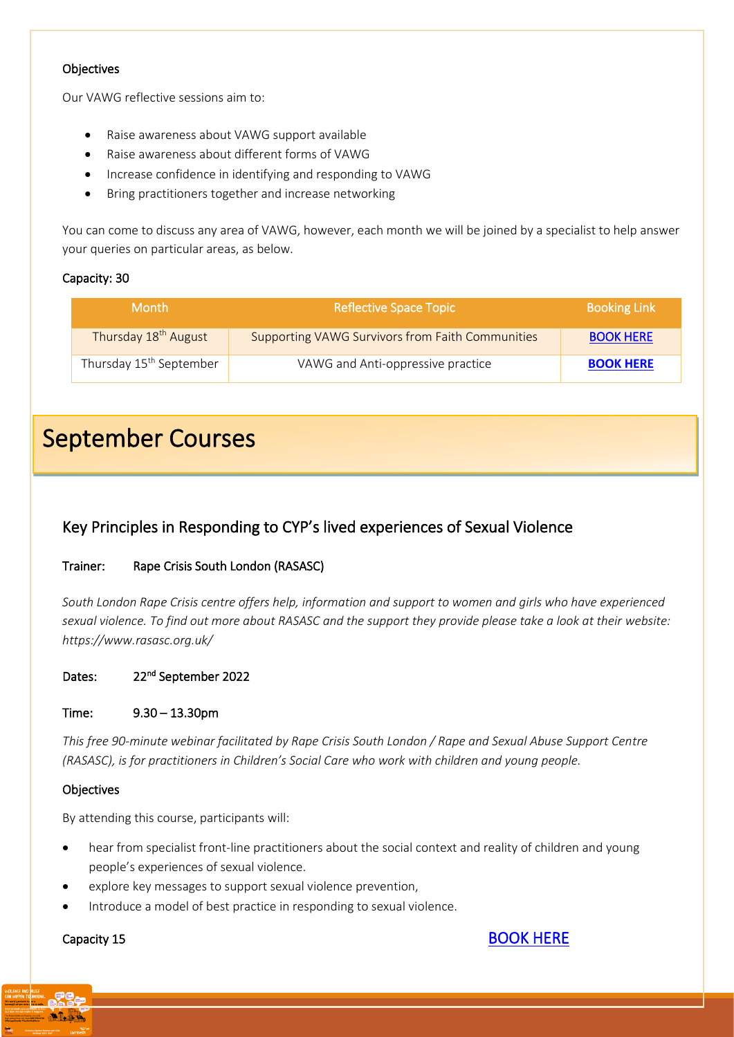#### **Objectives**

Our VAWG reflective sessions aim to:

- Raise awareness about VAWG support available
- Raise awareness about different forms of VAWG
- Increase confidence in identifying and responding to VAWG
- Bring practitioners together and increase networking

You can come to discuss any area of VAWG, however, each month we will be joined by a specialist to help answer your queries on particular areas, as below.

#### Capacity: 30

l,

| <b>Month</b>                        | <b>Reflective Space Topic</b>                           | <b>Booking Link</b> |
|-------------------------------------|---------------------------------------------------------|---------------------|
| Thursday 18 <sup>th</sup> August    | <b>Supporting VAWG Survivors from Faith Communities</b> | <b>BOOK HERE</b>    |
| Thursday 15 <sup>th</sup> September | VAWG and Anti-oppressive practice                       | <b>BOOK HERE</b>    |

# September Courses

#### <span id="page-19-0"></span>Key Principles in Responding to CYP's lived experiences of Sexual Violence

#### Trainer: Rape Crisis South London (RASASC)

*South London Rape Crisis centre offers help, information and support to women and girls who have experienced sexual violence. To find out more about RASASC and the support they provide please take a look at their website: https://www.rasasc.org.uk/* 

Dates: 22<sup>nd</sup> September 2022

Time: 9.30 – 13.30pm

*This free 90-minute webinar facilitated by Rape Crisis South London / Rape and Sexual Abuse Support Centre (RASASC), is for practitioners in Children's Social Care who work with children and young people.* 

#### **Objectives**

By attending this course, participants will:

- hear from specialist front-line practitioners about the social context and reality of children and young people's experiences of sexual violence.
- explore key messages to support sexual violence prevention,
- Introduce a model of best practice in responding to sexual violence.

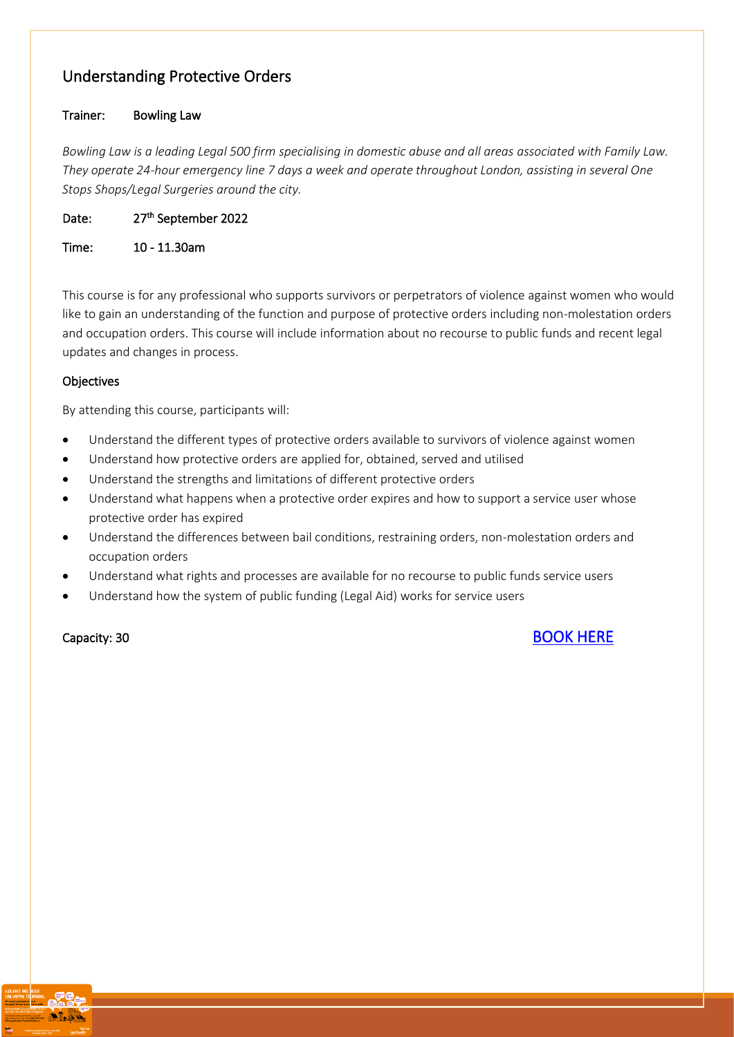### <span id="page-20-0"></span>Understanding Protective Orders

#### Trainer: Bowling Law

*Bowling Law is a leading Legal 500 firm specialising in domestic abuse and all areas associated with Family Law. They operate 24-hour emergency line 7 days a week and operate throughout London, assisting in several One Stops Shops/Legal Surgeries around the city.*

Date: 27<sup>th</sup> September 2022

Time: 10 - 11.30am

This course is for any professional who supports survivors or perpetrators of violence against women who would like to gain an understanding of the function and purpose of protective orders including non-molestation orders and occupation orders. This course will include information about no recourse to public funds and recent legal updates and changes in process.

#### **Objectives**

By attending this course, participants will:

- Understand the different types of protective orders available to survivors of violence against women
- Understand how protective orders are applied for, obtained, served and utilised
- Understand the strengths and limitations of different protective orders
- Understand what happens when a protective order expires and how to support a service user whose protective order has expired
- Understand the differences between bail conditions, restraining orders, non-molestation orders and occupation orders
- Understand what rights and processes are available for no recourse to public funds service users
- Understand how the system of public funding (Legal Aid) works for service users

#### Capacity: 30 BOOK HERE

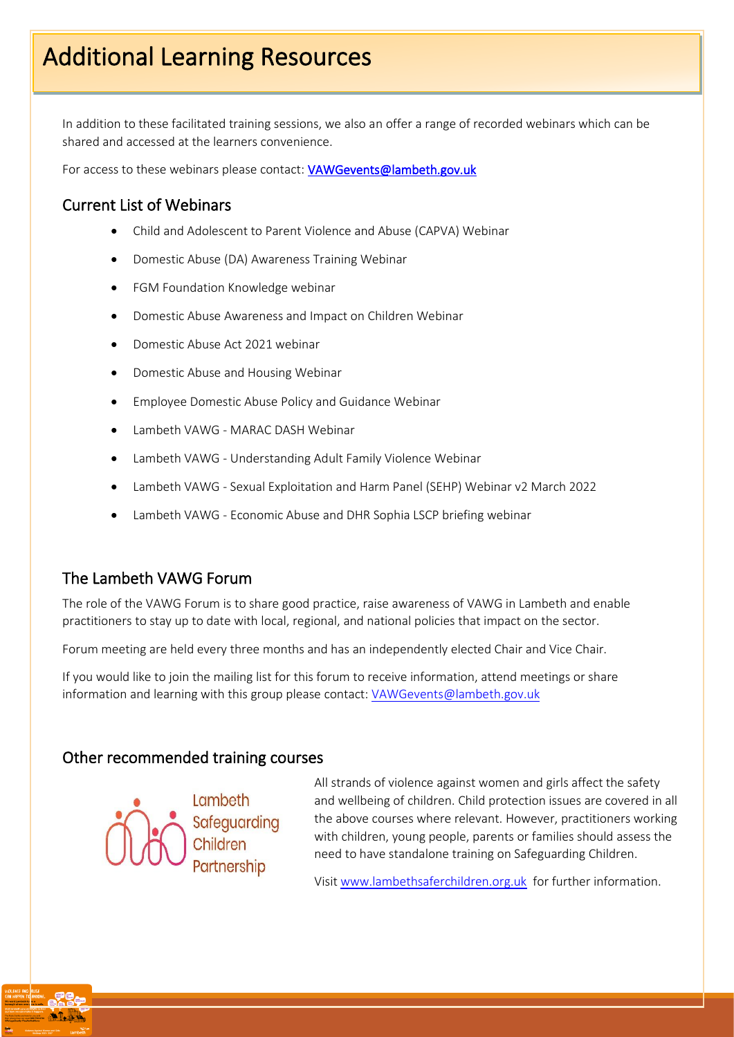In addition to these facilitated training sessions, we also an offer a range of recorded webinars which can be shared and accessed at the learners convenience.

For access to these webinars please contact: VAWGevents@lambeth.gov.uk

#### <span id="page-21-0"></span>Current List of Webinars

- Child and Adolescent to Parent Violence and Abuse (CAPVA) Webinar
- Domestic Abuse (DA) Awareness Training Webinar
- FGM Foundation Knowledge webinar
- Domestic Abuse Awareness and Impact on Children Webinar
- Domestic Abuse Act 2021 webinar
- Domestic Abuse and Housing Webinar
- Employee Domestic Abuse Policy and Guidance Webinar
- Lambeth VAWG MARAC DASH Webinar
- Lambeth VAWG Understanding Adult Family Violence Webinar
- Lambeth VAWG Sexual Exploitation and Harm Panel (SEHP) Webinar v2 March 2022
- Lambeth VAWG Economic Abuse and DHR Sophia LSCP briefing webinar

#### The Lambeth VAWG Forum

The role of the VAWG Forum is to share good practice, raise awareness of VAWG in Lambeth and enable practitioners to stay up to date with local, regional, and national policies that impact on the sector.

Forum meeting are held every three months and has an independently elected Chair and Vice Chair.

If you would like to join the mailing list for this forum to receive information, attend meetings or share information and learning with this group please contact: [VAWGevents@lambeth.gov.uk](mailto:VAWGevents@lambeth.gov.uk)

#### Other recommended training courses



All strands of violence against women and girls affect the safety and wellbeing of children. Child protection issues are covered in all the above courses where relevant. However, practitioners working with children, young people, parents or families should assess the need to have standalone training on Safeguarding Children.

Visit [www.lambethsaferchildren.org.uk](http://www.lambethsaferchildren.org.uk/) for further information.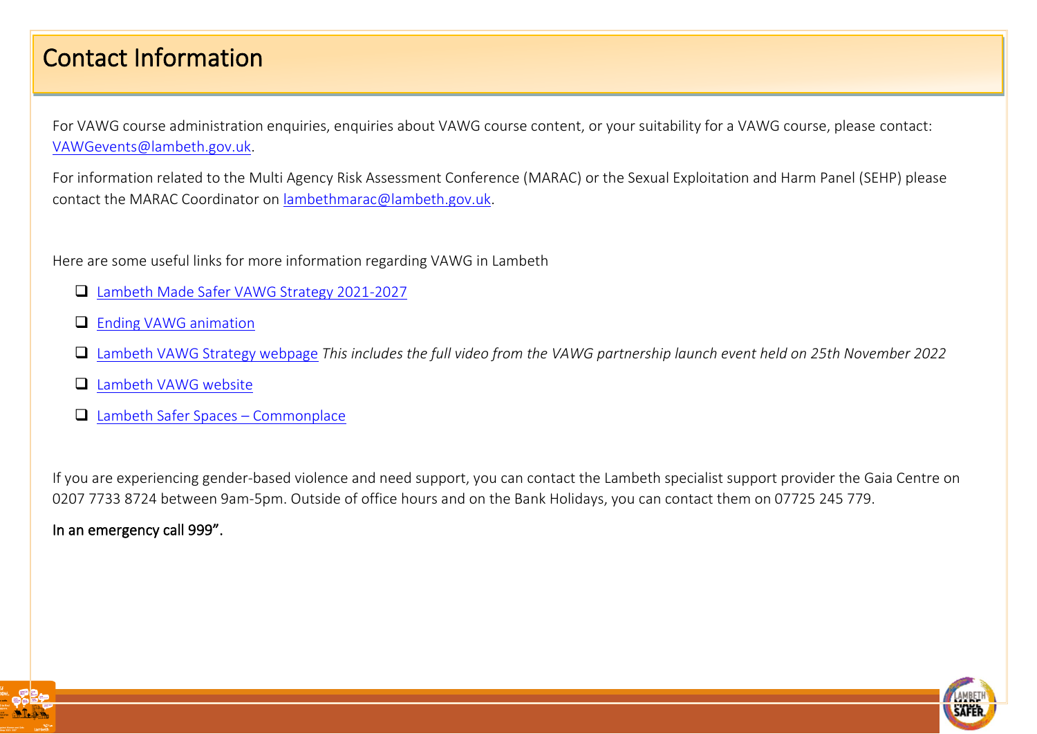# Contact Information

For VAWG course administration enquiries, enquiries about VAWG course content, or your suitability for a VAWG course, please contact: [VAWGevents@lambeth.gov.uk.](mailto:VAWGevents@lambeth.gov.uk)

For information related to the Multi Agency Risk Assessment Conference (MARAC) or the Sexual Exploitation and Harm Panel (SEHP) please contact the MARAC Coordinator on [lambethmarac@lambeth.gov.uk.](mailto:lambethmarac@lambeth.gov.uk)

Here are some useful links for more information regarding VAWG in Lambeth

- ❑ [Lambeth Made Safer VAWG Strategy 2021-2027](https://beta.lambeth.gov.uk/sites/default/files/2021-10/lambeth-made-safer-vawg-strategy-2021-2027.pdf)
- □ [Ending VAWG animation](https://beta.lambeth.gov.uk/noise-nuisance-anti-social-behaviour-and-safety/abuse-violence/violence-against-women-girls/ending-violence-against-women-girls-animation)
- ❑ [Lambeth VAWG Strategy webpage](https://beta.lambeth.gov.uk/noise-nuisance-anti-social-behaviour-and-safety/abuse-violence/violence-against-women-girls/lambeth-made-safer-violence-against-women-girls-strategy-2021-27) *This includes the full video from the VAWG partnership launch event held on 25th November 2022*
- ❑ [Lambeth VAWG website](https://beta.lambeth.gov.uk/noise-nuisance-anti-social-behaviour-and-safety/abuse-violence/violence-against-women-girls)
- ❑ [Lambeth Safer Spaces](https://lambethsaferstreets.commonplace.is/)  Commonplace

If you are experiencing gender-based violence and need support, you can contact the Lambeth specialist support provider the Gaia Centre on 0207 7733 8724 between 9am-5pm. Outside of office hours and on the Bank Holidays, you can contact them on 07725 245 779.

In an emergency call 999".